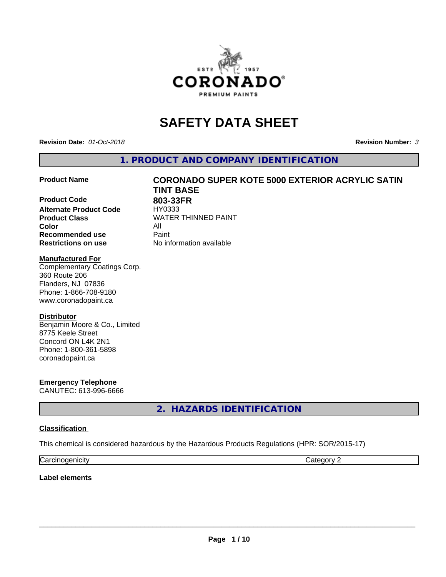

# **SAFETY DATA SHEET**

**Revision Date:** *01-Oct-2018* **Revision Number:** *3*

**1. PRODUCT AND COMPANY IDENTIFICATION**

**Product Code 803-33FR**<br> **Alternate Product Code HY0333 Alternate Product Code Product Class WATER THINNED PAINT Color** All **Recommended use Caint Restrictions on use** No information available

# **Product Name CORONADO SUPER KOTE 5000 EXTERIOR ACRYLIC SATIN TINT BASE**

### **Manufactured For**

Complementary Coatings Corp. 360 Route 206 Flanders, NJ 07836 Phone: 1-866-708-9180 www.coronadopaint.ca

### **Distributor**

Benjamin Moore & Co., Limited 8775 Keele Street Concord ON L4K 2N1 Phone: 1-800-361-5898 coronadopaint.ca

**Emergency Telephone** CANUTEC: 613-996-6666

**2. HAZARDS IDENTIFICATION**

### **Classification**

This chemical is considered hazardous by the Hazardous Products Regulations (HPR: SOR/2015-17)

| ∽<br>$\mathbf{111}$<br> | . . |
|-------------------------|-----|

**Label elements**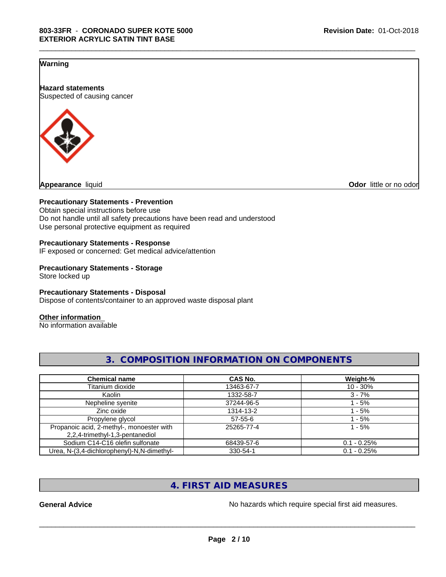\_\_\_\_\_\_\_\_\_\_\_\_\_\_\_\_\_\_\_\_\_\_\_\_\_\_\_\_\_\_\_\_\_\_\_\_\_\_\_\_\_\_\_\_\_\_\_\_\_\_\_\_\_\_\_\_\_\_\_\_\_\_\_\_\_\_\_\_\_\_\_\_\_\_\_\_\_\_\_\_\_\_\_\_\_\_\_\_\_\_\_\_\_

### **Warning**

**Hazard statements** Suspected of causing cancer



**Odor** little or no odor

### **Precautionary Statements - Prevention**

Obtain special instructions before use Do not handle until all safety precautions have been read and understood Use personal protective equipment as required

### **Precautionary Statements - Response**

IF exposed or concerned: Get medical advice/attention

### **Precautionary Statements - Storage** Store locked up

### **Precautionary Statements - Disposal**

Dispose of contents/container to an approved waste disposal plant

### **Other information**

No information available

| <b>Chemical name</b>                                                         | <b>CAS No.</b> | Weight-%      |
|------------------------------------------------------------------------------|----------------|---------------|
| Titanium dioxide                                                             | 13463-67-7     | $10 - 30%$    |
| Kaolin                                                                       | 1332-58-7      | $3 - 7%$      |
| Nepheline syenite                                                            | 37244-96-5     | $-5%$         |
| Zinc oxide                                                                   | 1314-13-2      | - 5%          |
| Propylene glycol                                                             | $57 - 55 - 6$  | $-5%$         |
| Propanoic acid, 2-methyl-, monoester with<br>2,2,4-trimethyl-1,3-pentanediol | 25265-77-4     | $1 - 5%$      |
| Sodium C14-C16 olefin sulfonate                                              | 68439-57-6     | $0.1 - 0.25%$ |
| Urea, N-(3,4-dichlorophenyl)-N,N-dimethyl-                                   | 330-54-1       | $0.1 - 0.25%$ |

**3. COMPOSITION INFORMATION ON COMPONENTS**

# **4. FIRST AID MEASURES**

General Advice **General Advice No hazards** which require special first aid measures.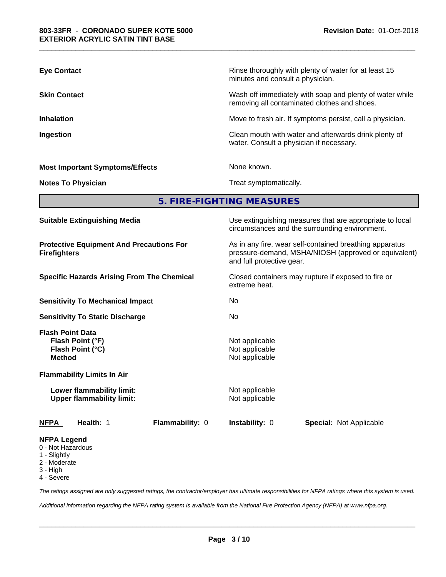| <b>Eye Contact</b>                     | Rinse thoroughly with plenty of water for at least 15<br>minutes and consult a physician.                |
|----------------------------------------|----------------------------------------------------------------------------------------------------------|
| <b>Skin Contact</b>                    | Wash off immediately with soap and plenty of water while<br>removing all contaminated clothes and shoes. |
| <b>Inhalation</b>                      | Move to fresh air. If symptoms persist, call a physician.                                                |
| Ingestion                              | Clean mouth with water and afterwards drink plenty of<br>water. Consult a physician if necessary.        |
| <b>Most Important Symptoms/Effects</b> | None known.                                                                                              |
| <b>Notes To Physician</b>              | Treat symptomatically.                                                                                   |

# **5. FIRE-FIGHTING MEASURES**

| <b>Suitable Extinguishing Media</b>                                              |                                                    | Use extinguishing measures that are appropriate to local<br>circumstances and the surrounding environment.                                   |  |  |  |
|----------------------------------------------------------------------------------|----------------------------------------------------|----------------------------------------------------------------------------------------------------------------------------------------------|--|--|--|
| <b>Protective Equipment And Precautions For</b><br><b>Firefighters</b>           |                                                    | As in any fire, wear self-contained breathing apparatus<br>pressure-demand, MSHA/NIOSH (approved or equivalent)<br>and full protective gear. |  |  |  |
| <b>Specific Hazards Arising From The Chemical</b>                                | extreme heat.                                      | Closed containers may rupture if exposed to fire or                                                                                          |  |  |  |
| <b>Sensitivity To Mechanical Impact</b>                                          | No                                                 |                                                                                                                                              |  |  |  |
| <b>Sensitivity To Static Discharge</b>                                           | No.                                                |                                                                                                                                              |  |  |  |
| <b>Flash Point Data</b><br>Flash Point (°F)<br>Flash Point (°C)<br><b>Method</b> | Not applicable<br>Not applicable<br>Not applicable |                                                                                                                                              |  |  |  |
| <b>Flammability Limits In Air</b>                                                |                                                    |                                                                                                                                              |  |  |  |
| Lower flammability limit:<br><b>Upper flammability limit:</b>                    | Not applicable<br>Not applicable                   |                                                                                                                                              |  |  |  |
| Health: 1<br>Flammability: 0<br><b>NFPA</b>                                      | <b>Instability: 0</b>                              | <b>Special: Not Applicable</b>                                                                                                               |  |  |  |
| <b>NFPA Legend</b>                                                               |                                                    |                                                                                                                                              |  |  |  |

- 0 Not Hazardous
- 1 Slightly
- 2 Moderate
- 3 High

4 - Severe

*The ratings assigned are only suggested ratings, the contractor/employer has ultimate responsibilities for NFPA ratings where this system is used.*

*Additional information regarding the NFPA rating system is available from the National Fire Protection Agency (NFPA) at www.nfpa.org.*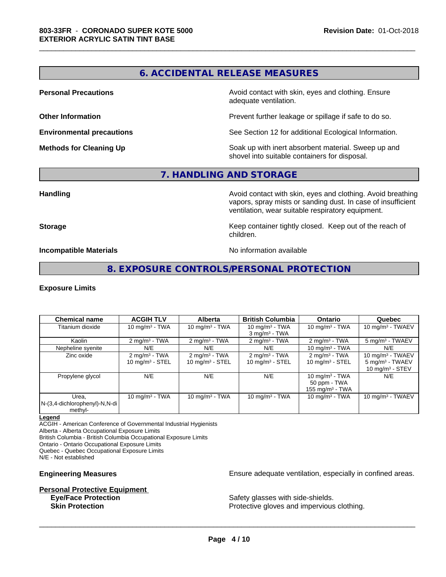# **6. ACCIDENTAL RELEASE MEASURES**

\_\_\_\_\_\_\_\_\_\_\_\_\_\_\_\_\_\_\_\_\_\_\_\_\_\_\_\_\_\_\_\_\_\_\_\_\_\_\_\_\_\_\_\_\_\_\_\_\_\_\_\_\_\_\_\_\_\_\_\_\_\_\_\_\_\_\_\_\_\_\_\_\_\_\_\_\_\_\_\_\_\_\_\_\_\_\_\_\_\_\_\_\_

**Personal Precautions Avoid contact with skin, eyes and clothing. Ensure** Avoid contact with skin, eyes and clothing. Ensure adequate ventilation.

**Other Information Other Information Prevent further leakage or spillage if safe to do so.** 

**Environmental precautions** See Section 12 for additional Ecological Information.

**Methods for Cleaning Up Soak** up with inert absorbent material. Sweep up and shovel into suitable containers for disposal.

# **7. HANDLING AND STORAGE**

**Handling Handling Avoid contact with skin, eyes and clothing. Avoid breathing** vapors, spray mists or sanding dust. In case of insufficient ventilation, wear suitable respiratory equipment.

**Storage Keep container tightly closed. Keep out of the reach of the reach of the reach of the reach of the reach of the reach of the reach of the reach of the reach of the reach of the reach of the reach of the reach of** children.

**Incompatible Materials** Noinformation available

# **8. EXPOSURE CONTROLS/PERSONAL PROTECTION**

### **Exposure Limits**

| <b>Chemical name</b>                              | <b>ACGIH TLV</b>                                       | <b>Alberta</b>                                         | <b>British Columbia</b>                                   | <b>Ontario</b>                                          | Quebec                                                                 |
|---------------------------------------------------|--------------------------------------------------------|--------------------------------------------------------|-----------------------------------------------------------|---------------------------------------------------------|------------------------------------------------------------------------|
| Titanium dioxide                                  | 10 $mq/m3$ - TWA                                       | 10 mg/m $3$ - TWA                                      | 10 mg/m $3$ - TWA<br>$3$ mg/m <sup>3</sup> - TWA          | 10 mg/m $3$ - TWA                                       | 10 mg/m $3$ - TWAEV                                                    |
| Kaolin                                            | $2 \text{ mg/m}^3$ - TWA                               | $2 \text{ mg/m}^3$ - TWA                               | $2 \text{ mg/m}^3$ - TWA                                  | $2 \text{ mg/m}^3$ - TWA                                | 5 mg/m <sup>3</sup> - TWAEV                                            |
| Nepheline syenite                                 | N/E                                                    | N/E                                                    | N/E                                                       | 10 mg/m $3$ - TWA                                       | N/E                                                                    |
| Zinc oxide                                        | $2 \text{ mg/m}^3$ - TWA<br>$10 \text{ mg/m}^3$ - STEL | $2 \text{ mg/m}^3$ - TWA<br>$10 \text{ mg/m}^3$ - STEL | $2 \text{ mg/m}^3$ - TWA<br>$10$ mg/m <sup>3</sup> - STEL | $2 \text{ mg/m}^3$ - TWA<br>$10 \text{ mg/m}^3$ - STEL  | 10 mg/m $3$ - TWAEV<br>$5 \text{ mg/m}^3$ - TWAEV<br>10 $mq/m3$ - STEV |
| Propylene glycol                                  | N/E                                                    | N/E                                                    | N/E                                                       | 10 mg/m $3$ - TWA<br>50 ppm - TWA<br>155 mg/m $3$ - TWA | N/E                                                                    |
| Urea.<br>N-(3,4-dichlorophenyl)-N,N-di<br>methyl- | 10 mg/m $3$ - TWA                                      | 10 mg/m $3 - TWA$                                      | 10 mg/m $3$ - TWA                                         | 10 mg/m $3$ - TWA                                       | 10 mg/m $3$ - TWAEV                                                    |

### **Legend**

ACGIH - American Conference of Governmental Industrial Hygienists

Alberta - Alberta Occupational Exposure Limits

British Columbia - British Columbia Occupational Exposure Limits

Ontario - Ontario Occupational Exposure Limits

Quebec - Quebec Occupational Exposure Limits

N/E - Not established

# **Personal Protective Equipment**<br> **Eve/Face Protection**

**Engineering Measures Engineering Measures Engineering Measures Ensure adequate ventilation, especially in confined areas.** 

Safety glasses with side-shields. **Skin Protection Protection Protective gloves and impervious clothing.**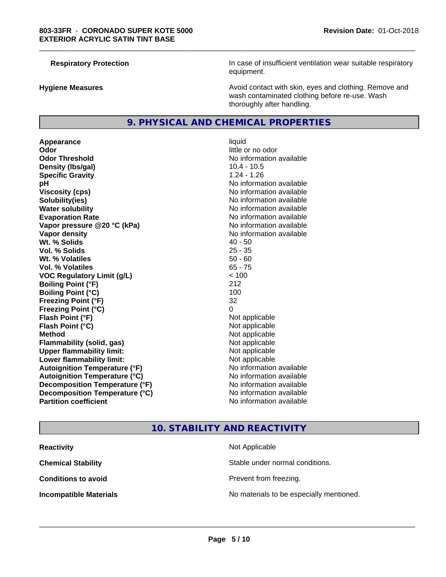**Respiratory Protection In case of insufficient ventilation wear suitable respiratory** equipment.

**Hygiene Measures Avoid contact with skin, eyes and clothing. Remove and Avoid contact with skin, eyes and clothing. Remove and Avoid contact with skin, eyes and clothing. Remove and** wash contaminated clothing before re-use. Wash thoroughly after handling.

### **9. PHYSICAL AND CHEMICAL PROPERTIES**

**Appearance** liquid **Odor** little or no odor **Odor Threshold No information available No information available Density (Ibs/gal)** 10.4 - 10.5 **Specific Gravity** 1.24 - 1.26 **pH** No information available **Viscosity (cps)** No information available **Solubility(ies)** No information available **Water solubility Water solubility Water solubility Water solubility Water solubility Water solution Evaporation Rate No information available No information available Vapor pressure @20 °C (kPa)** No information available **Vapor density No information available Wt. % Solids** 40 - 50 **Vol. % Solids** 25 - 35 **Wt. % Volatiles** 50 - 60 **Vol. % Volatiles** 65 - 75 **VOC Regulatory Limit (g/L)**  $\le$  100<br> **Boiling Point (°F)** 212 **Boiling Point (°F) Boiling Point (°C)** 100 **Freezing Point (°F)** 32 **Freezing Point (°C)** 0 **Flash Point (°F)** Not applicable **Flash Point (°C)** Not applicable **Method** Not applicable **Flammability (solid, gas)** Not applicable **Upper flammability limit:** Not applicable **Lower flammability limit:** Not applicable **Autoignition Temperature (°F)** No information available **Autoignition Temperature (°C)** No information available **Decomposition Temperature (°F)** No information available **Decomposition Temperature (°C)** No information available<br> **Partition coefficient Partition available** 

# **No information available**

\_\_\_\_\_\_\_\_\_\_\_\_\_\_\_\_\_\_\_\_\_\_\_\_\_\_\_\_\_\_\_\_\_\_\_\_\_\_\_\_\_\_\_\_\_\_\_\_\_\_\_\_\_\_\_\_\_\_\_\_\_\_\_\_\_\_\_\_\_\_\_\_\_\_\_\_\_\_\_\_\_\_\_\_\_\_\_\_\_\_\_\_\_

### **10. STABILITY AND REACTIVITY**

| <b>Reactivity</b>             | Not Applicable                           |
|-------------------------------|------------------------------------------|
| <b>Chemical Stability</b>     | Stable under normal conditions.          |
| <b>Conditions to avoid</b>    | Prevent from freezing.                   |
| <b>Incompatible Materials</b> | No materials to be especially mentioned. |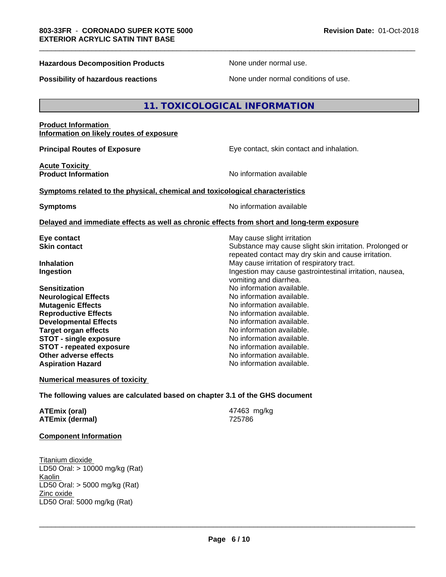### **Hazardous Decomposition Products** None under normal use.

\_\_\_\_\_\_\_\_\_\_\_\_\_\_\_\_\_\_\_\_\_\_\_\_\_\_\_\_\_\_\_\_\_\_\_\_\_\_\_\_\_\_\_\_\_\_\_\_\_\_\_\_\_\_\_\_\_\_\_\_\_\_\_\_\_\_\_\_\_\_\_\_\_\_\_\_\_\_\_\_\_\_\_\_\_\_\_\_\_\_\_\_\_

**Possibility of hazardous reactions** None under normal conditions of use.

### **11. TOXICOLOGICAL INFORMATION**

### **Product Information Information on likely routes of exposure**

**Principal Routes of Exposure Exposure** Eye contact, skin contact and inhalation.

**Acute Toxicity** 

**Product Information No information No information** available

### **Symptoms related to the physical,chemical and toxicological characteristics**

**Symptoms** No information available

### **Delayed and immediate effects as well as chronic effects from short and long-term exposure**

**Sensitization**<br> **No** information available.<br> **No** information available.<br>
No information available. **Neurological Effects Mutagenic Effects Mutagenic Effects No information available. Reproductive Effects**<br> **Reproductive Effects**<br> **Developmental Effects**<br> **No information available. Developmental Effects No information available.**<br> **Target organ effects No information available. Target organ effects STOT -** single exposure<br> **STOT -** repeated exposure<br>
No information available **STOT** - repeated exposure **Other adverse effects** No information available. **Aspiration Hazard No information available.** No information available.

**Eye contact** May cause slight irritation **Skin contact** Substance may cause slight skin irritation. Prolonged or repeated contact may dry skin and cause irritation. **Inhalation** May cause irritation of respiratory tract. **Ingestion Ingestion Ingestion may cause gastrointestinal irritation, nausea,** vomiting and diarrhea.

**Numerical measures of toxicity**

**The following values are calculated based on chapter 3.1 of the GHS document**

| ATEmix (oral)          | 47463 mg/kg |
|------------------------|-------------|
| <b>ATEmix (dermal)</b> | 725786      |

### **Component Information**

Titanium dioxide LD50 Oral: > 10000 mg/kg (Rat) Kaolin LD50 Oral: > 5000 mg/kg (Rat) Zinc oxide LD50 Oral: 5000 mg/kg (Rat)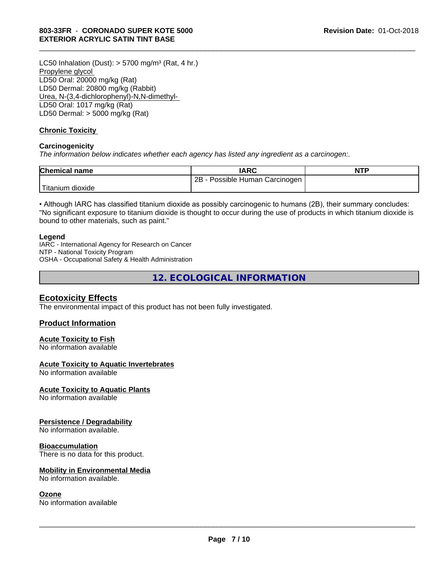LC50 Inhalation (Dust):  $> 5700$  mg/m<sup>3</sup> (Rat, 4 hr.) Propylene glycol LD50 Oral: 20000 mg/kg (Rat) LD50 Dermal: 20800 mg/kg (Rabbit) Urea, N-(3,4-dichlorophenyl)-N,N-dimethyl- LD50 Oral: 1017 mg/kg (Rat) LD50 Dermal: > 5000 mg/kg (Rat)

### **Chronic Toxicity**

### **Carcinogenicity**

*The information below indicateswhether each agency has listed any ingredient as a carcinogen:.*

| <b>Chemical name</b> | <b>IARC</b>                     | <b>NTP</b> |
|----------------------|---------------------------------|------------|
|                      | 2B<br>Possible Human Carcinogen |            |
| Titanium<br>dioxide  |                                 |            |

\_\_\_\_\_\_\_\_\_\_\_\_\_\_\_\_\_\_\_\_\_\_\_\_\_\_\_\_\_\_\_\_\_\_\_\_\_\_\_\_\_\_\_\_\_\_\_\_\_\_\_\_\_\_\_\_\_\_\_\_\_\_\_\_\_\_\_\_\_\_\_\_\_\_\_\_\_\_\_\_\_\_\_\_\_\_\_\_\_\_\_\_\_

• Although IARC has classified titanium dioxide as possibly carcinogenic to humans (2B), their summary concludes: "No significant exposure to titanium dioxide is thought to occur during the use of products in which titanium dioxide is bound to other materials, such as paint."

### **Legend**

IARC - International Agency for Research on Cancer NTP - National Toxicity Program OSHA - Occupational Safety & Health Administration

**12. ECOLOGICAL INFORMATION**

### **Ecotoxicity Effects**

The environmental impact of this product has not been fully investigated.

### **Product Information**

### **Acute Toxicity to Fish**

No information available

### **Acute Toxicity to Aquatic Invertebrates**

No information available

### **Acute Toxicity to Aquatic Plants**

No information available

### **Persistence / Degradability**

No information available.

### **Bioaccumulation**

There is no data for this product.

### **Mobility in Environmental Media**

No information available.

### **Ozone**

No information available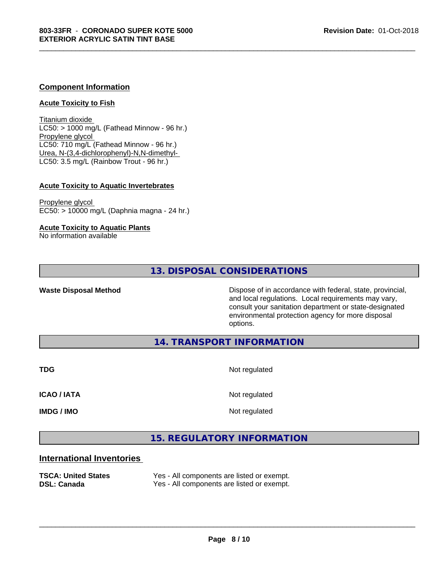### **Component Information**

### **Acute Toxicity to Fish**

Titanium dioxide  $LC50:$  > 1000 mg/L (Fathead Minnow - 96 hr.) Propylene glycol LC50: 710 mg/L (Fathead Minnow - 96 hr.) Urea, N-(3,4-dichlorophenyl)-N,N-dimethyl- LC50: 3.5 mg/L (Rainbow Trout - 96 hr.)

### **Acute Toxicity to Aquatic Invertebrates**

Propylene glycol EC50: > 10000 mg/L (Daphnia magna - 24 hr.)

### **Acute Toxicity to Aquatic Plants**

No information available

### **13. DISPOSAL CONSIDERATIONS**

**Waste Disposal Method Dispose of in accordance with federal, state, provincial,** and local regulations. Local requirements may vary, consult your sanitation department or state-designated environmental protection agency for more disposal options.

**14. TRANSPORT INFORMATION**

**TDG** Not regulated

\_\_\_\_\_\_\_\_\_\_\_\_\_\_\_\_\_\_\_\_\_\_\_\_\_\_\_\_\_\_\_\_\_\_\_\_\_\_\_\_\_\_\_\_\_\_\_\_\_\_\_\_\_\_\_\_\_\_\_\_\_\_\_\_\_\_\_\_\_\_\_\_\_\_\_\_\_\_\_\_\_\_\_\_\_\_\_\_\_\_\_\_\_

**ICAO / IATA** Not regulated

**IMDG / IMO** Not regulated

 $\overline{\phantom{a}}$  ,  $\overline{\phantom{a}}$  ,  $\overline{\phantom{a}}$  ,  $\overline{\phantom{a}}$  ,  $\overline{\phantom{a}}$  ,  $\overline{\phantom{a}}$  ,  $\overline{\phantom{a}}$  ,  $\overline{\phantom{a}}$  ,  $\overline{\phantom{a}}$  ,  $\overline{\phantom{a}}$  ,  $\overline{\phantom{a}}$  ,  $\overline{\phantom{a}}$  ,  $\overline{\phantom{a}}$  ,  $\overline{\phantom{a}}$  ,  $\overline{\phantom{a}}$  ,  $\overline{\phantom{a}}$ 

# **15. REGULATORY INFORMATION**

### **International Inventories**

| <b>TSCA: United States</b> | Yes - All components are listed or exempt. |
|----------------------------|--------------------------------------------|
| <b>DSL: Canada</b>         | Yes - All components are listed or exempt. |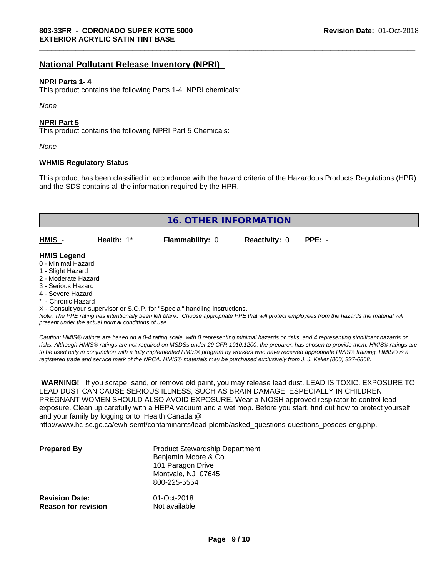# **National Pollutant Release Inventory (NPRI)**

### **NPRI Parts 1- 4**

This product contains the following Parts 1-4 NPRI chemicals:

*None*

### **NPRI Part 5**

This product contains the following NPRI Part 5 Chemicals:

*None*

### **WHMIS Regulatory Status**

This product has been classified in accordance with the hazard criteria of the Hazardous Products Regulations (HPR) and the SDS contains all the information required by the HPR.

\_\_\_\_\_\_\_\_\_\_\_\_\_\_\_\_\_\_\_\_\_\_\_\_\_\_\_\_\_\_\_\_\_\_\_\_\_\_\_\_\_\_\_\_\_\_\_\_\_\_\_\_\_\_\_\_\_\_\_\_\_\_\_\_\_\_\_\_\_\_\_\_\_\_\_\_\_\_\_\_\_\_\_\_\_\_\_\_\_\_\_\_\_

| 16. OTHER INFORMATION                                                                                                                                 |                                                    |                                                                            |                      |                                                                                                                                               |
|-------------------------------------------------------------------------------------------------------------------------------------------------------|----------------------------------------------------|----------------------------------------------------------------------------|----------------------|-----------------------------------------------------------------------------------------------------------------------------------------------|
| HMIS -                                                                                                                                                | Health: $1*$                                       | <b>Flammability: 0</b>                                                     | <b>Reactivity: 0</b> | $PPE: -$                                                                                                                                      |
| <b>HMIS Legend</b><br>0 - Minimal Hazard<br>1 - Slight Hazard<br>2 - Moderate Hazard<br>3 - Serious Hazard<br>4 - Severe Hazard<br>* - Chronic Hazard | present under the actual normal conditions of use. | X - Consult your supervisor or S.O.P. for "Special" handling instructions. |                      | Note: The PPE rating has intentionally been left blank. Choose appropriate PPE that will protect employees from the hazards the material will |

*Caution: HMISÒ ratings are based on a 0-4 rating scale, with 0 representing minimal hazards or risks, and 4 representing significant hazards or risks. Although HMISÒ ratings are not required on MSDSs under 29 CFR 1910.1200, the preparer, has chosen to provide them. HMISÒ ratings are to be used only in conjunction with a fully implemented HMISÒ program by workers who have received appropriate HMISÒ training. HMISÒ is a registered trade and service mark of the NPCA. HMISÒ materials may be purchased exclusively from J. J. Keller (800) 327-6868.*

 **WARNING!** If you scrape, sand, or remove old paint, you may release lead dust. LEAD IS TOXIC. EXPOSURE TO LEAD DUST CAN CAUSE SERIOUS ILLNESS, SUCH AS BRAIN DAMAGE, ESPECIALLY IN CHILDREN. PREGNANT WOMEN SHOULD ALSO AVOID EXPOSURE.Wear a NIOSH approved respirator to control lead exposure. Clean up carefully with a HEPA vacuum and a wet mop. Before you start, find out how to protect yourself and your family by logging onto Health Canada @

http://www.hc-sc.gc.ca/ewh-semt/contaminants/lead-plomb/asked\_questions-questions\_posees-eng.php.

| <b>Prepared By</b>         | <b>Product Stewardship Department</b><br>Benjamin Moore & Co.<br>101 Paragon Drive<br>Montvale, NJ 07645<br>800-225-5554 |
|----------------------------|--------------------------------------------------------------------------------------------------------------------------|
| <b>Revision Date:</b>      | 01-Oct-2018                                                                                                              |
| <b>Reason for revision</b> | Not available                                                                                                            |